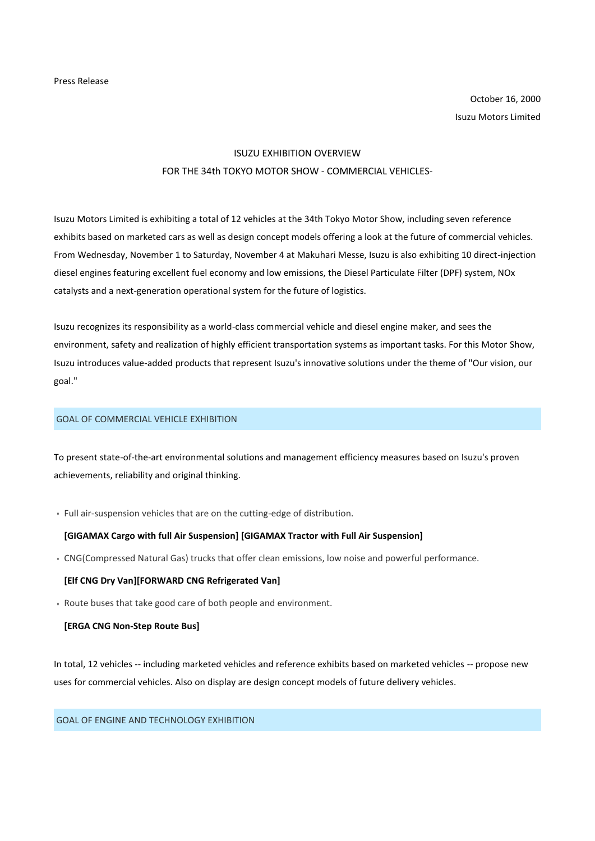October 16, 2000 Isuzu Motors Limited

#### ISUZU EXHIBITION OVERVIEW

#### FOR THE 34th TOKYO MOTOR SHOW - COMMERCIAL VEHICLES-

Isuzu Motors Limited is exhibiting a total of 12 vehicles at the 34th Tokyo Motor Show, including seven reference exhibits based on marketed cars as well as design concept models offering a look at the future of commercial vehicles. From Wednesday, November 1 to Saturday, November 4 at Makuhari Messe, Isuzu is also exhibiting 10 direct-injection diesel engines featuring excellent fuel economy and low emissions, the Diesel Particulate Filter (DPF) system, NOx catalysts and a next-generation operational system for the future of logistics.

Isuzu recognizes its responsibility as a world-class commercial vehicle and diesel engine maker, and sees the environment, safety and realization of highly efficient transportation systems as important tasks. For this Motor Show, Isuzu introduces value-added products that represent Isuzu's innovative solutions under the theme of "Our vision, our goal."

## GOAL OF COMMERCIAL VEHICLE EXHIBITION

To present state-of-the-art environmental solutions and management efficiency measures based on Isuzu's proven achievements, reliability and original thinking.

Full air-suspension vehicles that are on the cutting-edge of distribution.

#### **[GIGAMAX Cargo with full Air Suspension] [GIGAMAX Tractor with Full Air Suspension]**

CNG(Compressed Natural Gas) trucks that offer clean emissions, low noise and powerful performance.

#### **[Elf CNG Dry Van][FORWARD CNG Refrigerated Van]**

Route buses that take good care of both people and environment.

#### **[ERGA CNG Non-Step Route Bus]**

In total, 12 vehicles -- including marketed vehicles and reference exhibits based on marketed vehicles -- propose new uses for commercial vehicles. Also on display are design concept models of future delivery vehicles.

#### GOAL OF ENGINE AND TECHNOLOGY EXHIBITION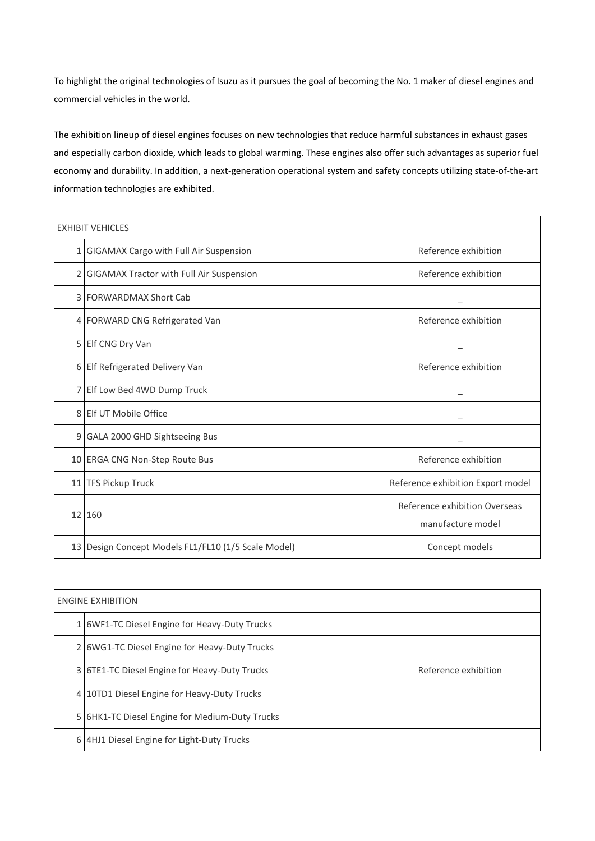To highlight the original technologies of Isuzu as it pursues the goal of becoming the No. 1 maker of diesel engines and commercial vehicles in the world.

The exhibition lineup of diesel engines focuses on new technologies that reduce harmful substances in exhaust gases and especially carbon dioxide, which leads to global warming. These engines also offer such advantages as superior fuel economy and durability. In addition, a next-generation operational system and safety concepts utilizing state-of-the-art information technologies are exhibited.

| <b>EXHIBIT VEHICLES</b> |                                                     |                                                    |
|-------------------------|-----------------------------------------------------|----------------------------------------------------|
|                         | 1 GIGAMAX Cargo with Full Air Suspension            | Reference exhibition                               |
|                         | 2 GIGAMAX Tractor with Full Air Suspension          | Reference exhibition                               |
|                         | 3 FORWARDMAX Short Cab                              |                                                    |
|                         | 4 FORWARD CNG Refrigerated Van                      | Reference exhibition                               |
|                         | 5 Elf CNG Dry Van                                   |                                                    |
|                         | 6 Elf Refrigerated Delivery Van                     | Reference exhibition                               |
|                         | 7 Elf Low Bed 4WD Dump Truck                        |                                                    |
|                         | 8 Elf UT Mobile Office                              | $\overline{\phantom{0}}$                           |
|                         | 9 GALA 2000 GHD Sightseeing Bus                     |                                                    |
|                         | 10 ERGA CNG Non-Step Route Bus                      | Reference exhibition                               |
|                         | 11 TFS Pickup Truck                                 | Reference exhibition Export model                  |
|                         | 12 160                                              | Reference exhibition Overseas<br>manufacture model |
|                         | 13 Design Concept Models FL1/FL10 (1/5 Scale Model) | Concept models                                     |

| <b>ENGINE EXHIBITION</b> |                                                |                      |
|--------------------------|------------------------------------------------|----------------------|
|                          | 1 6WF1-TC Diesel Engine for Heavy-Duty Trucks  |                      |
|                          | 2 6WG1-TC Diesel Engine for Heavy-Duty Trucks  |                      |
|                          | 3 6TE1-TC Diesel Engine for Heavy-Duty Trucks  | Reference exhibition |
|                          | 4 10TD1 Diesel Engine for Heavy-Duty Trucks    |                      |
|                          | 5 6HK1-TC Diesel Engine for Medium-Duty Trucks |                      |
|                          | 6 4HJ1 Diesel Engine for Light-Duty Trucks     |                      |
|                          |                                                |                      |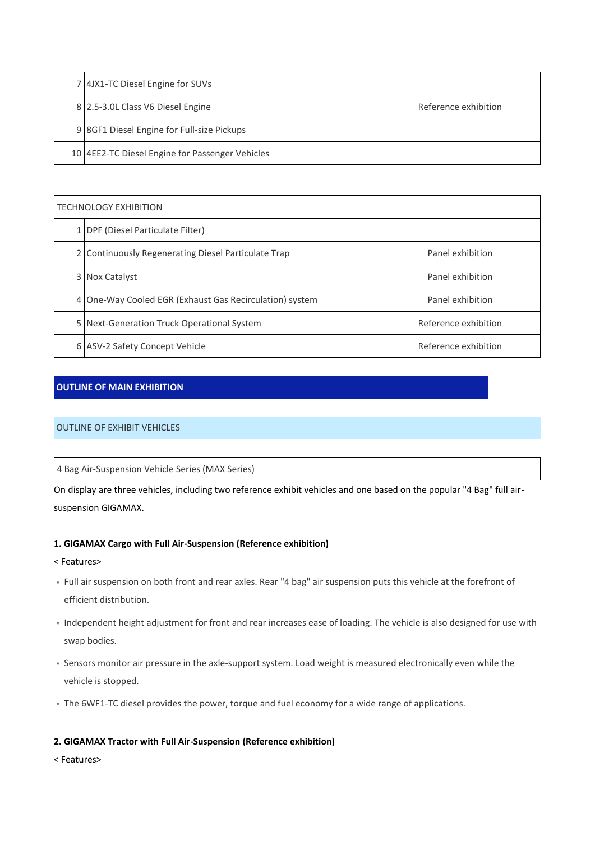- 7 4JX1-TC Diesel Engine for SUVs
- 8 2.5-3.0L Class V6 Diesel Engine Reference exhibition
- 9 8GF1 Diesel Engine for Full-size Pickups
- 10 4EE2-TC Diesel Engine for Passenger Vehicles

#### TECHNOLOGY EXHIBITION

- 1 DPF (Diesel Particulate Filter)
- 2 Continuously Regenerating Diesel Particulate Trap Panel exhibition
- 
- 4 One-Way Cooled EGR (Exhaust Gas Recirculation) system Panel exhibition
- 5 Next-Generation Truck Operational System Reference exhibition
- 6 ASV-2 Safety Concept Vehicle **Reference** exhibition

## **OUTLINE OF MAIN EXHIBITION**

## OUTLINE OF EXHIBIT VEHICLES

4 Bag Air-Suspension Vehicle Series (MAX Series)

On display are three vehicles, including two reference exhibit vehicles and one based on the popular "4 Bag" full airsuspension GIGAMAX.

## **1. GIGAMAX Cargo with Full Air-Suspension (Reference exhibition)**

- < Features>
- Full air suspension on both front and rear axles. Rear "4 bag" air suspension puts this vehicle at the forefront of efficient distribution.
- Independent height adjustment for front and rear increases ease of loading. The vehicle is also designed for use with swap bodies.
- Sensors monitor air pressure in the axle-support system. Load weight is measured electronically even while the vehicle is stopped.
- The 6WF1-TC diesel provides the power, torque and fuel economy for a wide range of applications.

## **2. GIGAMAX Tractor with Full Air-Suspension (Reference exhibition)**

< Features>

3 Nox Catalyst Panel exhibition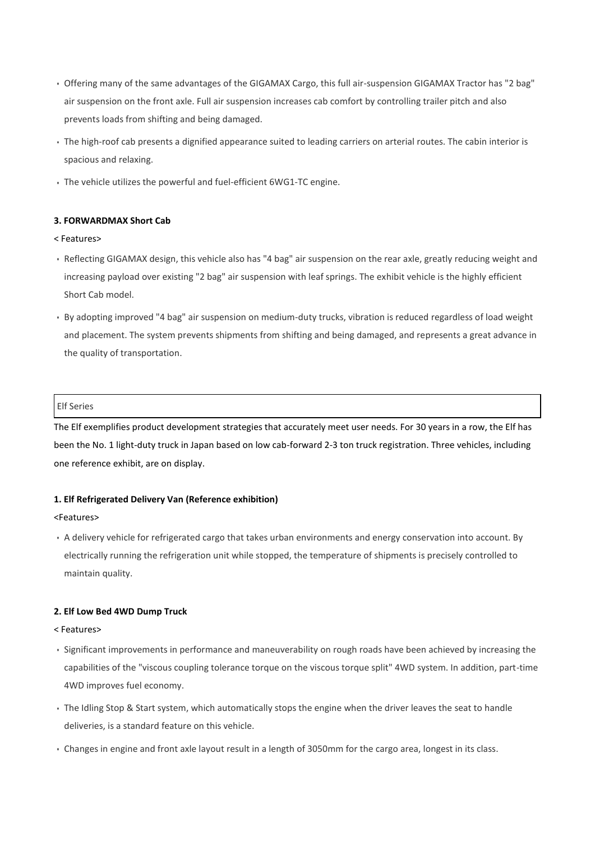- Offering many of the same advantages of the GIGAMAX Cargo, this full air-suspension GIGAMAX Tractor has "2 bag" air suspension on the front axle. Full air suspension increases cab comfort by controlling trailer pitch and also prevents loads from shifting and being damaged.
- The high-roof cab presents a dignified appearance suited to leading carriers on arterial routes. The cabin interior is spacious and relaxing.
- The vehicle utilizes the powerful and fuel-efficient 6WG1-TC engine.

## **3. FORWARDMAX Short Cab**

## < Features>

- Reflecting GIGAMAX design, this vehicle also has "4 bag" air suspension on the rear axle, greatly reducing weight and increasing payload over existing "2 bag" air suspension with leaf springs. The exhibit vehicle is the highly efficient Short Cab model.
- By adopting improved "4 bag" air suspension on medium-duty trucks, vibration is reduced regardless of load weight and placement. The system prevents shipments from shifting and being damaged, and represents a great advance in the quality of transportation.

#### Elf Series

The Elf exemplifies product development strategies that accurately meet user needs. For 30 years in a row, the Elf has been the No. 1 light-duty truck in Japan based on low cab-forward 2-3 ton truck registration. Three vehicles, including one reference exhibit, are on display.

## **1. Elf Refrigerated Delivery Van (Reference exhibition)**

## <Features>

A delivery vehicle for refrigerated cargo that takes urban environments and energy conservation into account. By electrically running the refrigeration unit while stopped, the temperature of shipments is precisely controlled to maintain quality.

## **2. Elf Low Bed 4WD Dump Truck**

## < Features>

- Significant improvements in performance and maneuverability on rough roads have been achieved by increasing the capabilities of the "viscous coupling tolerance torque on the viscous torque split" 4WD system. In addition, part-time 4WD improves fuel economy.
- The Idling Stop & Start system, which automatically stops the engine when the driver leaves the seat to handle deliveries, is a standard feature on this vehicle.
- Changes in engine and front axle layout result in a length of 3050mm for the cargo area, longest in its class.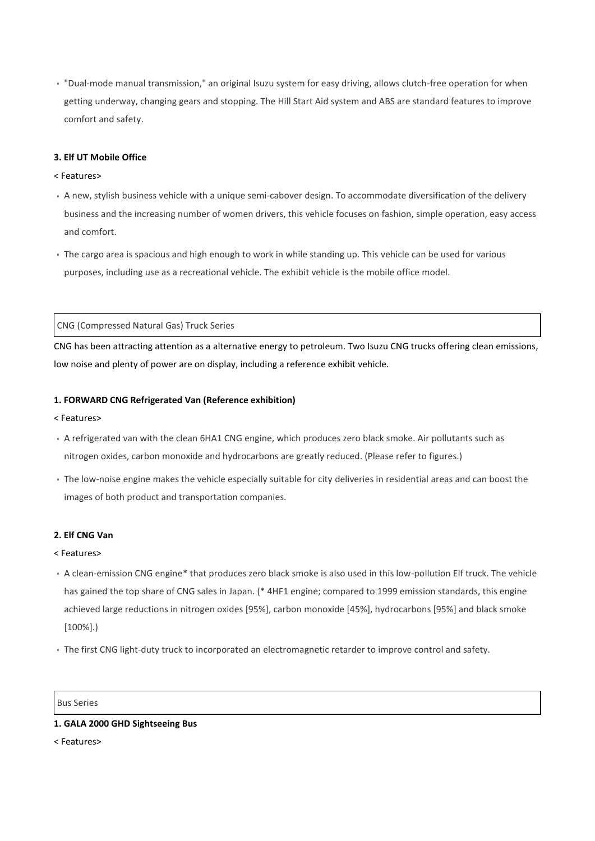"Dual-mode manual transmission," an original Isuzu system for easy driving, allows clutch-free operation for when getting underway, changing gears and stopping. The Hill Start Aid system and ABS are standard features to improve comfort and safety.

## **3. Elf UT Mobile Office**

## < Features>

- A new, stylish business vehicle with a unique semi-cabover design. To accommodate diversification of the delivery business and the increasing number of women drivers, this vehicle focuses on fashion, simple operation, easy access and comfort.
- The cargo area is spacious and high enough to work in while standing up. This vehicle can be used for various purposes, including use as a recreational vehicle. The exhibit vehicle is the mobile office model.

CNG (Compressed Natural Gas) Truck Series

CNG has been attracting attention as a alternative energy to petroleum. Two Isuzu CNG trucks offering clean emissions, low noise and plenty of power are on display, including a reference exhibit vehicle.

## **1. FORWARD CNG Refrigerated Van (Reference exhibition)**

- < Features>
- A refrigerated van with the clean 6HA1 CNG engine, which produces zero black smoke. Air pollutants such as nitrogen oxides, carbon monoxide and hydrocarbons are greatly reduced. (Please refer to figures.)
- The low-noise engine makes the vehicle especially suitable for city deliveries in residential areas and can boost the images of both product and transportation companies.

## **2. Elf CNG Van**

## < Features>

- A clean-emission CNG engine\* that produces zero black smoke is also used in this low-pollution Elf truck. The vehicle has gained the top share of CNG sales in Japan. (\* 4HF1 engine; compared to 1999 emission standards, this engine achieved large reductions in nitrogen oxides [95%], carbon monoxide [45%], hydrocarbons [95%] and black smoke [100%].)
- The first CNG light-duty truck to incorporated an electromagnetic retarder to improve control and safety.

#### Bus Series

## **1. GALA 2000 GHD Sightseeing Bus**

< Features>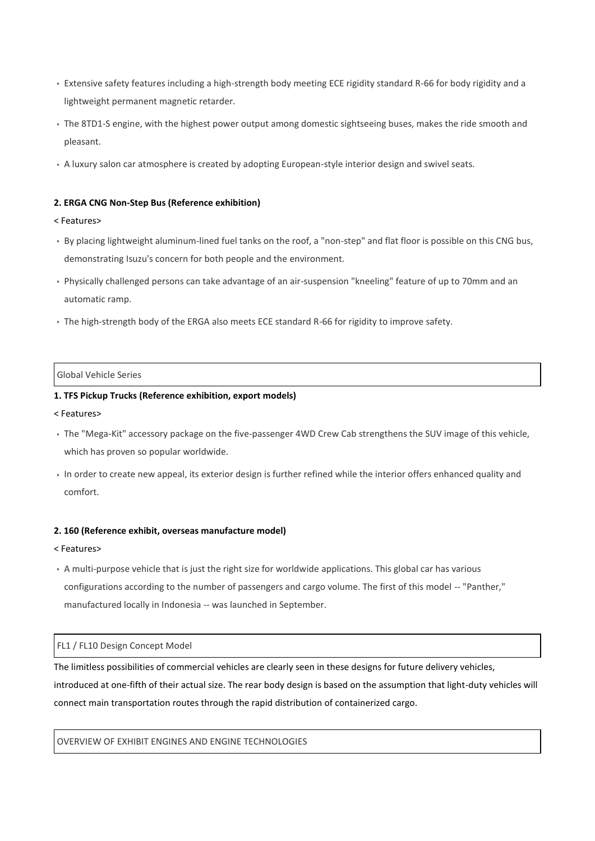- Extensive safety features including a high-strength body meeting ECE rigidity standard R-66 for body rigidity and a lightweight permanent magnetic retarder.
- The 8TD1-S engine, with the highest power output among domestic sightseeing buses, makes the ride smooth and pleasant.
- A luxury salon car atmosphere is created by adopting European-style interior design and swivel seats.

## **2. ERGA CNG Non-Step Bus (Reference exhibition)**

- < Features>
- By placing lightweight aluminum-lined fuel tanks on the roof, a "non-step" and flat floor is possible on this CNG bus, demonstrating Isuzu's concern for both people and the environment.
- Physically challenged persons can take advantage of an air-suspension "kneeling" feature of up to 70mm and an automatic ramp.
- The high-strength body of the ERGA also meets ECE standard R-66 for rigidity to improve safety.

## Global Vehicle Series

## **1. TFS Pickup Trucks (Reference exhibition, export models)**

- < Features>
- The "Mega-Kit" accessory package on the five-passenger 4WD Crew Cab strengthens the SUV image of this vehicle, which has proven so popular worldwide.
- In order to create new appeal, its exterior design is further refined while the interior offers enhanced quality and comfort.

# **2. 160 (Reference exhibit, overseas manufacture model)**

- < Features>
- A multi-purpose vehicle that is just the right size for worldwide applications. This global car has various configurations according to the number of passengers and cargo volume. The first of this model -- "Panther," manufactured locally in Indonesia -- was launched in September.

## FL1 / FL10 Design Concept Model

The limitless possibilities of commercial vehicles are clearly seen in these designs for future delivery vehicles, introduced at one-fifth of their actual size. The rear body design is based on the assumption that light-duty vehicles will connect main transportation routes through the rapid distribution of containerized cargo.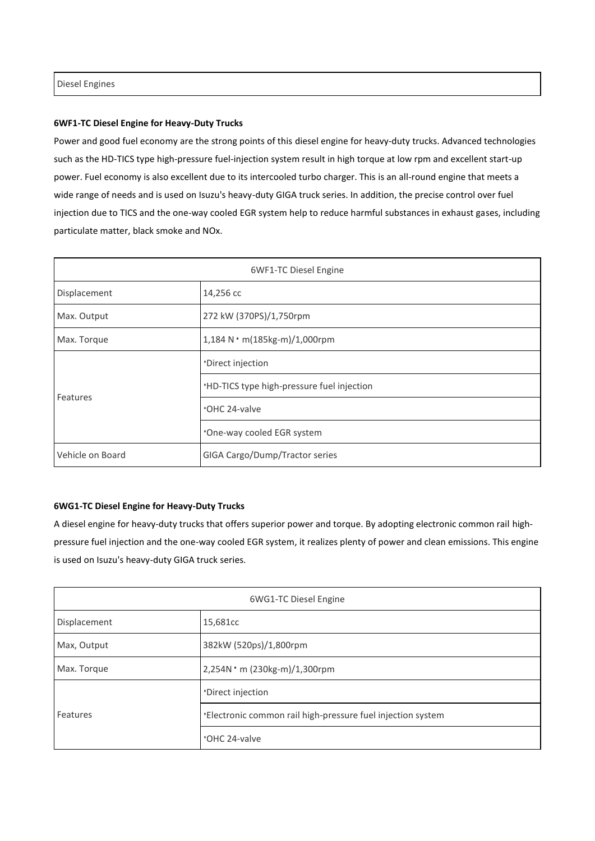Diesel Engines

#### **6WF1-TC Diesel Engine for Heavy-Duty Trucks**

Power and good fuel economy are the strong points of this diesel engine for heavy-duty trucks. Advanced technologies such as the HD-TICS type high-pressure fuel-injection system result in high torque at low rpm and excellent start-up power. Fuel economy is also excellent due to its intercooled turbo charger. This is an all-round engine that meets a wide range of needs and is used on Isuzu's heavy-duty GIGA truck series. In addition, the precise control over fuel injection due to TICS and the one-way cooled EGR system help to reduce harmful substances in exhaust gases, including particulate matter, black smoke and NOx.

| 6WF1-TC Diesel Engine |                                            |
|-----------------------|--------------------------------------------|
| Displacement          | 14,256 cc                                  |
| Max. Output           | 272 kW (370PS)/1,750rpm                    |
| Max. Torque           | 1,184 N * m(185kg-m)/1,000rpm              |
|                       | 'Direct injection                          |
|                       | 'HD-TICS type high-pressure fuel injection |
| Features              | 'OHC 24-valve                              |
|                       | 'One-way cooled EGR system                 |
| Vehicle on Board      | GIGA Cargo/Dump/Tractor series             |

## **6WG1-TC Diesel Engine for Heavy-Duty Trucks**

A diesel engine for heavy-duty trucks that offers superior power and torque. By adopting electronic common rail highpressure fuel injection and the one-way cooled EGR system, it realizes plenty of power and clean emissions. This engine is used on Isuzu's heavy-duty GIGA truck series.

| 6WG1-TC Diesel Engine |                                                             |
|-----------------------|-------------------------------------------------------------|
| Displacement          | 15,681cc                                                    |
| Max, Output           | 382kW (520ps)/1,800rpm                                      |
| Max. Torque           | 2,254N ' m (230kg-m)/1,300rpm                               |
|                       | 'Direct injection                                           |
| Features              | 'Electronic common rail high-pressure fuel injection system |
|                       | 'OHC 24-valve                                               |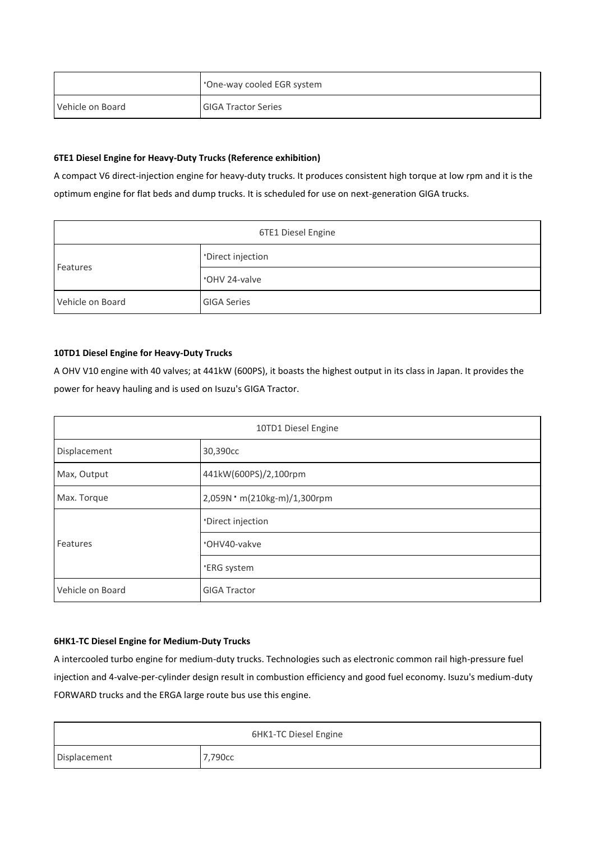#### **6TE1 Diesel Engine for Heavy-Duty Trucks (Reference exhibition)**

A compact V6 direct-injection engine for heavy-duty trucks. It produces consistent high torque at low rpm and it is the optimum engine for flat beds and dump trucks. It is scheduled for use on next-generation GIGA trucks.

| 6TE1 Diesel Engine |                    |
|--------------------|--------------------|
| Features           | 'Direct injection  |
|                    | 'OHV 24-valve      |
| Vehicle on Board   | <b>GIGA Series</b> |

## **10TD1 Diesel Engine for Heavy-Duty Trucks**

A OHV V10 engine with 40 valves; at 441kW (600PS), it boasts the highest output in its class in Japan. It provides the power for heavy hauling and is used on Isuzu's GIGA Tractor.

| 10TD1 Diesel Engine |                              |
|---------------------|------------------------------|
| Displacement        | 30,390cc                     |
| Max, Output         | 441kW(600PS)/2,100rpm        |
| Max. Torque         | 2,059N · m(210kg-m)/1,300rpm |
|                     | 'Direct injection            |
| Features            | 'OHV40-vakve                 |
|                     | 'ERG system                  |
| Vehicle on Board    | <b>GIGA Tractor</b>          |

## **6HK1-TC Diesel Engine for Medium-Duty Trucks**

A intercooled turbo engine for medium-duty trucks. Technologies such as electronic common rail high-pressure fuel injection and 4-valve-per-cylinder design result in combustion efficiency and good fuel economy. Isuzu's medium-duty FORWARD trucks and the ERGA large route bus use this engine.

6HK1-TC Diesel Engine

Displacement 7,790cc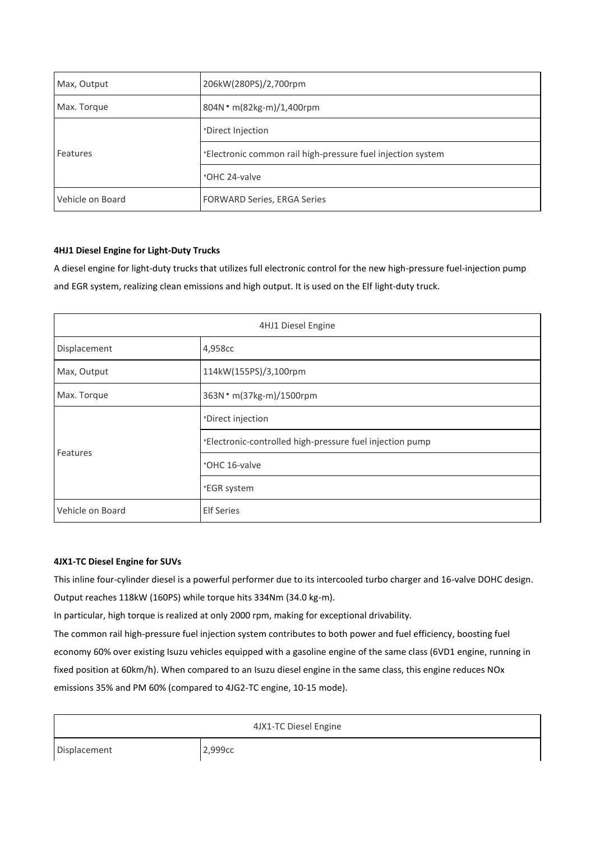| Max, Output      | 206kW(280PS)/2,700rpm                                       |
|------------------|-------------------------------------------------------------|
| Max. Torque      | 804N · m(82kg-m)/1,400rpm                                   |
|                  | 'Direct Injection                                           |
| Features         | 'Electronic common rail high-pressure fuel injection system |
|                  | 'OHC 24-valve                                               |
| Vehicle on Board | <b>FORWARD Series, ERGA Series</b>                          |

## **4HJ1 Diesel Engine for Light-Duty Trucks**

A diesel engine for light-duty trucks that utilizes full electronic control for the new high-pressure fuel-injection pump and EGR system, realizing clean emissions and high output. It is used on the Elf light-duty truck.

| 4HJ1 Diesel Engine |                                                          |
|--------------------|----------------------------------------------------------|
| Displacement       | 4,958cc                                                  |
| Max, Output        | 114kW(155PS)/3,100rpm                                    |
| Max. Torque        | 363N · m(37kg-m)/1500rpm                                 |
|                    | 'Direct injection                                        |
|                    | 'Electronic-controlled high-pressure fuel injection pump |
| Features           | 'OHC 16-valve                                            |
|                    | 'EGR system                                              |
| Vehicle on Board   | <b>Elf Series</b>                                        |

## **4JX1-TC Diesel Engine for SUVs**

This inline four-cylinder diesel is a powerful performer due to its intercooled turbo charger and 16-valve DOHC design. Output reaches 118kW (160PS) while torque hits 334Nm (34.0 kg-m).

In particular, high torque is realized at only 2000 rpm, making for exceptional drivability.

The common rail high-pressure fuel injection system contributes to both power and fuel efficiency, boosting fuel economy 60% over existing Isuzu vehicles equipped with a gasoline engine of the same class (6VD1 engine, running in fixed position at 60km/h). When compared to an Isuzu diesel engine in the same class, this engine reduces NOx emissions 35% and PM 60% (compared to 4JG2-TC engine, 10-15 mode).

| 4JX1-TC Diesel Engine |         |
|-----------------------|---------|
| Displacement          | 2,999cc |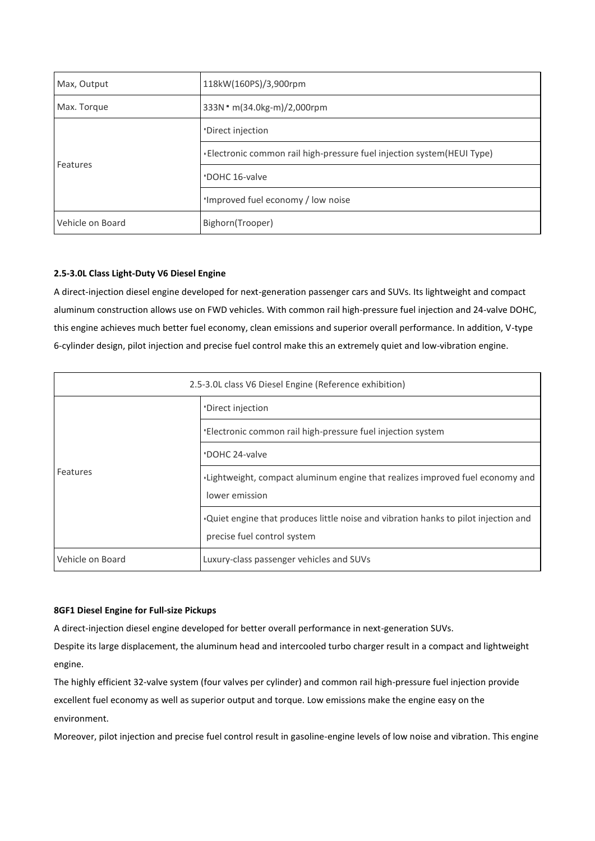| Max, Output      | 118kW(160PS)/3,900rpm                                                  |
|------------------|------------------------------------------------------------------------|
| Max. Torque      | 333N · m(34.0kg-m)/2,000rpm                                            |
|                  | <b>Direct injection</b>                                                |
|                  | Electronic common rail high-pressure fuel injection system (HEUI Type) |
| Features         | <b>DOHC</b> 16-valve                                                   |
|                  | 'Improved fuel economy / low noise                                     |
| Vehicle on Board | Bighorn(Trooper)                                                       |

## **2.5-3.0L Class Light-Duty V6 Diesel Engine**

A direct-injection diesel engine developed for next-generation passenger cars and SUVs. Its lightweight and compact aluminum construction allows use on FWD vehicles. With common rail high-pressure fuel injection and 24-valve DOHC, this engine achieves much better fuel economy, clean emissions and superior overall performance. In addition, V-type 6-cylinder design, pilot injection and precise fuel control make this an extremely quiet and low-vibration engine.

| 2.5-3.0L class V6 Diesel Engine (Reference exhibition) |                                                                                      |
|--------------------------------------------------------|--------------------------------------------------------------------------------------|
|                                                        | <b>Direct injection</b>                                                              |
|                                                        | 'Electronic common rail high-pressure fuel injection system                          |
|                                                        | 'DOHC 24-valve                                                                       |
| <b>Features</b>                                        | . Lightweight, compact aluminum engine that realizes improved fuel economy and       |
|                                                        | lower emission                                                                       |
|                                                        | . Quiet engine that produces little noise and vibration hanks to pilot injection and |
|                                                        | precise fuel control system                                                          |
| Vehicle on Board                                       | Luxury-class passenger vehicles and SUVs                                             |

## **8GF1 Diesel Engine for Full-size Pickups**

A direct-injection diesel engine developed for better overall performance in next-generation SUVs.

Despite its large displacement, the aluminum head and intercooled turbo charger result in a compact and lightweight engine.

The highly efficient 32-valve system (four valves per cylinder) and common rail high-pressure fuel injection provide excellent fuel economy as well as superior output and torque. Low emissions make the engine easy on the environment.

Moreover, pilot injection and precise fuel control result in gasoline-engine levels of low noise and vibration. This engine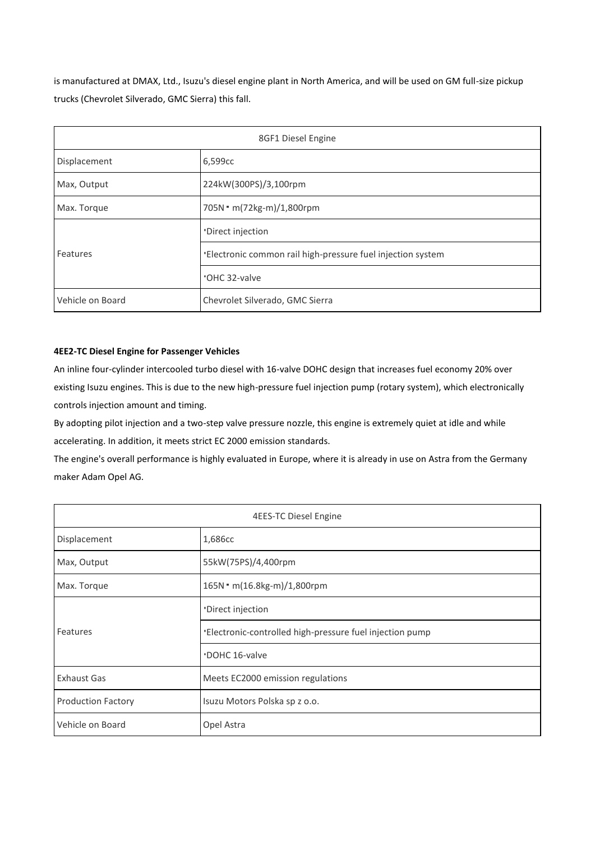is manufactured at DMAX, Ltd., Isuzu's diesel engine plant in North America, and will be used on GM full-size pickup trucks (Chevrolet Silverado, GMC Sierra) this fall.

| 8GF1 Diesel Engine |                                                             |
|--------------------|-------------------------------------------------------------|
| Displacement       | 6,599сс                                                     |
| Max, Output        | 224kW(300PS)/3,100rpm                                       |
| Max. Torque        | 705N · m(72kg-m)/1,800rpm                                   |
|                    | 'Direct injection                                           |
| Features           | 'Electronic common rail high-pressure fuel injection system |
|                    | 'OHC 32-valve                                               |
| Vehicle on Board   | Chevrolet Silverado, GMC Sierra                             |

## **4EE2-TC Diesel Engine for Passenger Vehicles**

An inline four-cylinder intercooled turbo diesel with 16-valve DOHC design that increases fuel economy 20% over existing Isuzu engines. This is due to the new high-pressure fuel injection pump (rotary system), which electronically controls injection amount and timing.

By adopting pilot injection and a two-step valve pressure nozzle, this engine is extremely quiet at idle and while accelerating. In addition, it meets strict EC 2000 emission standards.

The engine's overall performance is highly evaluated in Europe, where it is already in use on Astra from the Germany maker Adam Opel AG.

| 4EES-TC Diesel Engine     |                                                          |
|---------------------------|----------------------------------------------------------|
| Displacement              | 1,686cc                                                  |
| Max, Output               | 55kW(75PS)/4,400rpm                                      |
| Max. Torque               | 165N · m(16.8kg-m)/1,800rpm                              |
|                           | <b>Direct injection</b>                                  |
| Features                  | 'Electronic-controlled high-pressure fuel injection pump |
|                           | *DOHC 16-valve                                           |
| <b>Exhaust Gas</b>        | Meets EC2000 emission regulations                        |
| <b>Production Factory</b> | Isuzu Motors Polska sp z o.o.                            |
| Vehicle on Board          | Opel Astra                                               |